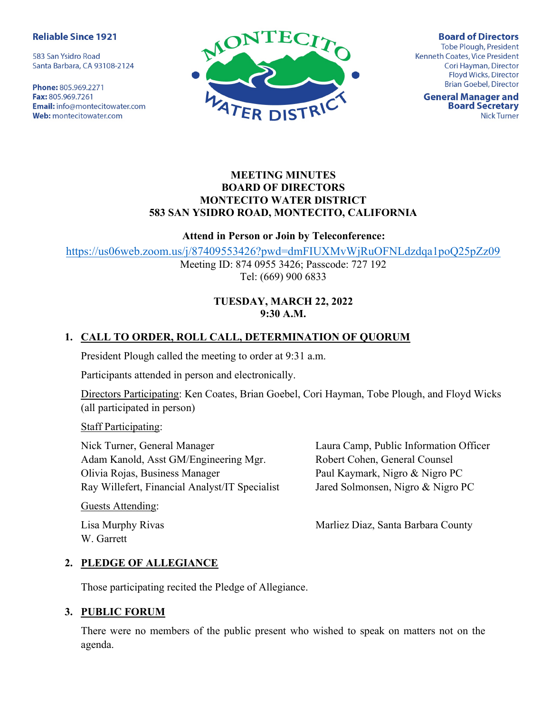#### **Reliable Since 1921**

583 San Ysidro Road Santa Barbara, CA 93108-2124

Phone: 805.969.2271 Fax: 805.969.7261 **Email:** info@montecitowater.com Web: montecitowater.com



**Board of Directors** Tobe Plough, President Kenneth Coates, Vice President Cori Hayman, Director Floyd Wicks, Director **Brian Goebel, Director** 

**General Manager and Board Secretary Nick Turner** 

### MEETING MINUTES BOARD OF DIRECTORS MONTECITO WATER DISTRICT 583 SAN YSIDRO ROAD, MONTECITO, CALIFORNIA

#### Attend in Person or Join by Teleconference:

https://us06web.zoom.us/j/87409553426?pwd=dmFIUXMvWjRuOFNLdzdqa1poQ25pZz09

Meeting ID: 874 0955 3426; Passcode: 727 192 Tel: (669) 900 6833

### TUESDAY, MARCH 22, 2022 9:30 A.M.

## 1. CALL TO ORDER, ROLL CALL, DETERMINATION OF QUORUM

President Plough called the meeting to order at 9:31 a.m.

Participants attended in person and electronically.

Directors Participating: Ken Coates, Brian Goebel, Cori Hayman, Tobe Plough, and Floyd Wicks (all participated in person)

Staff Participating:

Nick Turner, General Manager Adam Kanold, Asst GM/Engineering Mgr. Olivia Rojas, Business Manager Ray Willefert, Financial Analyst/IT Specialist Laura Camp, Public Information Officer Robert Cohen, General Counsel Paul Kaymark, Nigro & Nigro PC Jared Solmonsen, Nigro & Nigro PC

Guests Attending:

W. Garrett

Lisa Murphy Rivas Marliez Diaz, Santa Barbara County

#### 2. PLEDGE OF ALLEGIANCE

Those participating recited the Pledge of Allegiance.

#### 3. PUBLIC FORUM

There were no members of the public present who wished to speak on matters not on the agenda.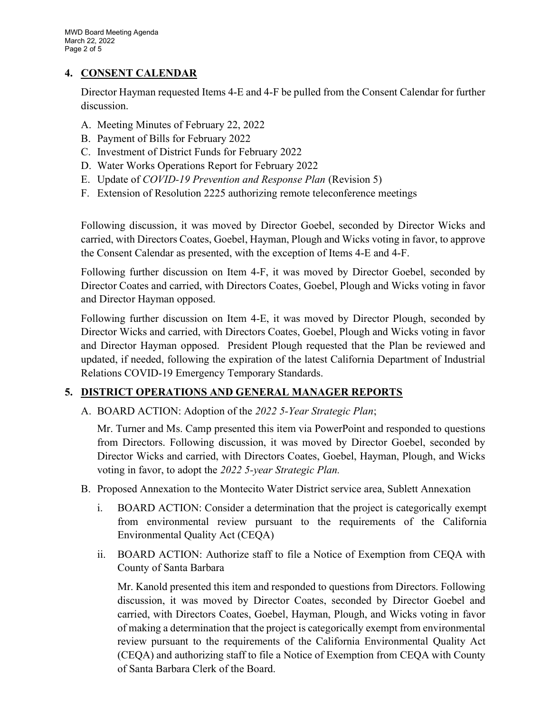## 4. CONSENT CALENDAR

Director Hayman requested Items 4-E and 4-F be pulled from the Consent Calendar for further discussion.

- A. Meeting Minutes of February 22, 2022
- B. Payment of Bills for February 2022
- C. Investment of District Funds for February 2022
- D. Water Works Operations Report for February 2022
- E. Update of COVID-19 Prevention and Response Plan (Revision 5)
- F. Extension of Resolution 2225 authorizing remote teleconference meetings

Following discussion, it was moved by Director Goebel, seconded by Director Wicks and carried, with Directors Coates, Goebel, Hayman, Plough and Wicks voting in favor, to approve the Consent Calendar as presented, with the exception of Items 4-E and 4-F.

Following further discussion on Item 4-F, it was moved by Director Goebel, seconded by Director Coates and carried, with Directors Coates, Goebel, Plough and Wicks voting in favor and Director Hayman opposed.

Following further discussion on Item 4-E, it was moved by Director Plough, seconded by Director Wicks and carried, with Directors Coates, Goebel, Plough and Wicks voting in favor and Director Hayman opposed. President Plough requested that the Plan be reviewed and updated, if needed, following the expiration of the latest California Department of Industrial Relations COVID-19 Emergency Temporary Standards.

# 5. DISTRICT OPERATIONS AND GENERAL MANAGER REPORTS

A. BOARD ACTION: Adoption of the 2022 5-Year Strategic Plan;

Mr. Turner and Ms. Camp presented this item via PowerPoint and responded to questions from Directors. Following discussion, it was moved by Director Goebel, seconded by Director Wicks and carried, with Directors Coates, Goebel, Hayman, Plough, and Wicks voting in favor, to adopt the 2022 5-year Strategic Plan.

- B. Proposed Annexation to the Montecito Water District service area, Sublett Annexation
	- i. BOARD ACTION: Consider a determination that the project is categorically exempt from environmental review pursuant to the requirements of the California Environmental Quality Act (CEQA)
	- ii. BOARD ACTION: Authorize staff to file a Notice of Exemption from CEQA with County of Santa Barbara

Mr. Kanold presented this item and responded to questions from Directors. Following discussion, it was moved by Director Coates, seconded by Director Goebel and carried, with Directors Coates, Goebel, Hayman, Plough, and Wicks voting in favor of making a determination that the project is categorically exempt from environmental review pursuant to the requirements of the California Environmental Quality Act (CEQA) and authorizing staff to file a Notice of Exemption from CEQA with County of Santa Barbara Clerk of the Board.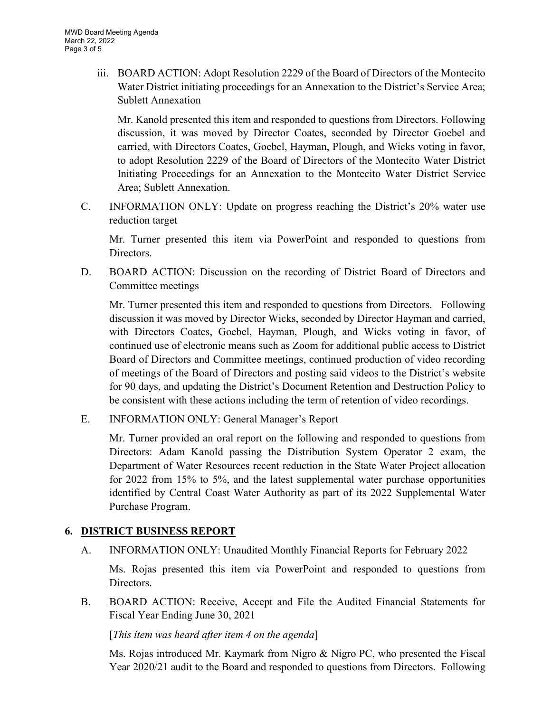iii. BOARD ACTION: Adopt Resolution 2229 of the Board of Directors of the Montecito Water District initiating proceedings for an Annexation to the District's Service Area; Sublett Annexation

Mr. Kanold presented this item and responded to questions from Directors. Following discussion, it was moved by Director Coates, seconded by Director Goebel and carried, with Directors Coates, Goebel, Hayman, Plough, and Wicks voting in favor, to adopt Resolution 2229 of the Board of Directors of the Montecito Water District Initiating Proceedings for an Annexation to the Montecito Water District Service Area; Sublett Annexation.

C. INFORMATION ONLY: Update on progress reaching the District's 20% water use reduction target

Mr. Turner presented this item via PowerPoint and responded to questions from Directors.

D. BOARD ACTION: Discussion on the recording of District Board of Directors and Committee meetings

Mr. Turner presented this item and responded to questions from Directors. Following discussion it was moved by Director Wicks, seconded by Director Hayman and carried, with Directors Coates, Goebel, Hayman, Plough, and Wicks voting in favor, of continued use of electronic means such as Zoom for additional public access to District Board of Directors and Committee meetings, continued production of video recording of meetings of the Board of Directors and posting said videos to the District's website for 90 days, and updating the District's Document Retention and Destruction Policy to be consistent with these actions including the term of retention of video recordings.

E. INFORMATION ONLY: General Manager's Report

Mr. Turner provided an oral report on the following and responded to questions from Directors: Adam Kanold passing the Distribution System Operator 2 exam, the Department of Water Resources recent reduction in the State Water Project allocation for 2022 from 15% to 5%, and the latest supplemental water purchase opportunities identified by Central Coast Water Authority as part of its 2022 Supplemental Water Purchase Program.

### 6. DISTRICT BUSINESS REPORT

A. INFORMATION ONLY: Unaudited Monthly Financial Reports for February 2022

Ms. Rojas presented this item via PowerPoint and responded to questions from Directors.

B. BOARD ACTION: Receive, Accept and File the Audited Financial Statements for Fiscal Year Ending June 30, 2021

[This item was heard after item 4 on the agenda]

Ms. Rojas introduced Mr. Kaymark from Nigro & Nigro PC, who presented the Fiscal Year 2020/21 audit to the Board and responded to questions from Directors. Following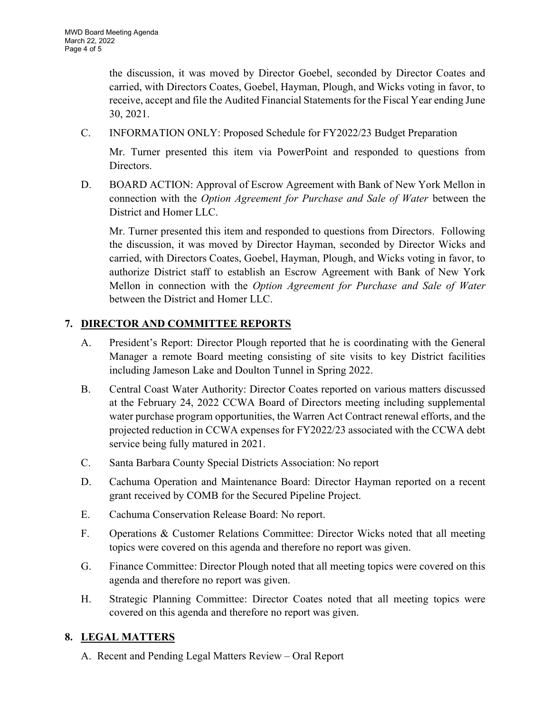the discussion, it was moved by Director Goebel, seconded by Director Coates and carried, with Directors Coates, Goebel, Hayman, Plough, and Wicks voting in favor, to receive, accept and file the Audited Financial Statements for the Fiscal Year ending June 30, 2021.

C. INFORMATION ONLY: Proposed Schedule for FY2022/23 Budget Preparation

Mr. Turner presented this item via PowerPoint and responded to questions from Directors.

D. BOARD ACTION: Approval of Escrow Agreement with Bank of New York Mellon in connection with the Option Agreement for Purchase and Sale of Water between the District and Homer LLC.

Mr. Turner presented this item and responded to questions from Directors. Following the discussion, it was moved by Director Hayman, seconded by Director Wicks and carried, with Directors Coates, Goebel, Hayman, Plough, and Wicks voting in favor, to authorize District staff to establish an Escrow Agreement with Bank of New York Mellon in connection with the Option Agreement for Purchase and Sale of Water between the District and Homer LLC.

# 7. DIRECTOR AND COMMITTEE REPORTS

- A. President's Report: Director Plough reported that he is coordinating with the General Manager a remote Board meeting consisting of site visits to key District facilities including Jameson Lake and Doulton Tunnel in Spring 2022.
- B. Central Coast Water Authority: Director Coates reported on various matters discussed at the February 24, 2022 CCWA Board of Directors meeting including supplemental water purchase program opportunities, the Warren Act Contract renewal efforts, and the projected reduction in CCWA expenses for FY2022/23 associated with the CCWA debt service being fully matured in 2021.
- C. Santa Barbara County Special Districts Association: No report
- D. Cachuma Operation and Maintenance Board: Director Hayman reported on a recent grant received by COMB for the Secured Pipeline Project.
- E. Cachuma Conservation Release Board: No report.
- F. Operations & Customer Relations Committee: Director Wicks noted that all meeting topics were covered on this agenda and therefore no report was given.
- G. Finance Committee: Director Plough noted that all meeting topics were covered on this agenda and therefore no report was given.
- H. Strategic Planning Committee: Director Coates noted that all meeting topics were covered on this agenda and therefore no report was given.

# 8. LEGAL MATTERS

A. Recent and Pending Legal Matters Review – Oral Report